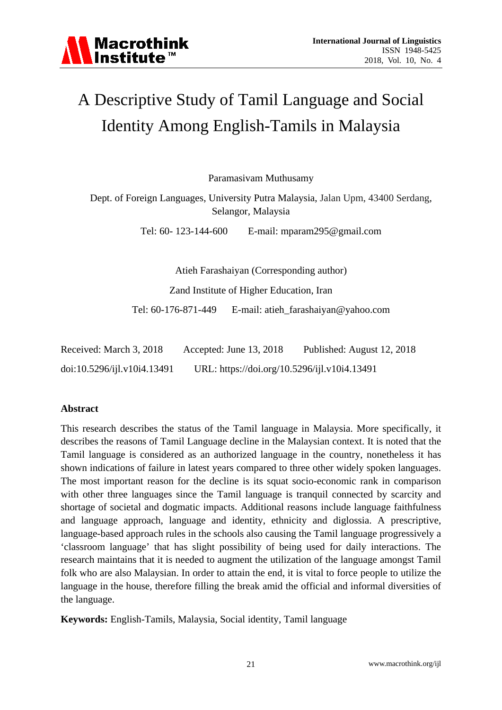# A Descriptive Study of Tamil Language and Social Identity Among English-Tamils in Malaysia

Paramasivam Muthusamy

Dept. of Foreign Languages, University Putra Malaysia, Jalan Upm, 43400 Serdang, Selangor, Malaysia

Tel: 60- 123-144-600 E-mail: mparam295@gmail.com

Atieh Farashaiyan (Corresponding author)

Zand Institute of Higher Education, Iran

Tel: 60-176-871-449 E-mail: atieh\_farashaiyan@yahoo.com

| Received: March 3, 2018     | Accepted: June 13, 2018                      | Published: August 12, 2018 |
|-----------------------------|----------------------------------------------|----------------------------|
| doi:10.5296/ijl.v10i4.13491 | URL: https://doi.org/10.5296/ijl.v10i4.13491 |                            |

#### **Abstract**

This research describes the status of the Tamil language in Malaysia. More specifically, it describes the reasons of Tamil Language decline in the Malaysian context. It is noted that the Tamil language is considered as an authorized language in the country, nonetheless it has shown indications of failure in latest years compared to three other widely spoken languages. The most important reason for the decline is its squat socio-economic rank in comparison with other three languages since the Tamil language is tranquil connected by scarcity and shortage of societal and dogmatic impacts. Additional reasons include language faithfulness and language approach, language and identity, ethnicity and diglossia. A prescriptive, language-based approach rules in the schools also causing the Tamil language progressively a 'classroom language' that has slight possibility of being used for daily interactions. The research maintains that it is needed to augment the utilization of the language amongst Tamil folk who are also Malaysian. In order to attain the end, it is vital to force people to utilize the language in the house, therefore filling the break amid the official and informal diversities of the language.

**Keywords:** English-Tamils, Malaysia, Social identity, Tamil language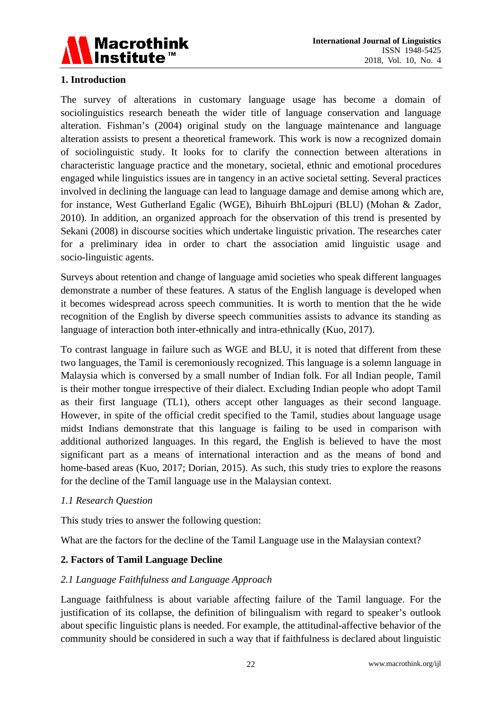

### **1. Introduction**

The survey of alterations in customary language usage has become a domain of sociolinguistics research beneath the wider title of language conservation and language alteration. Fishman's (2004) original study on the language maintenance and language alteration assists to present a theoretical framework. This work is now a recognized domain of sociolinguistic study. It looks for to clarify the connection between alterations in characteristic language practice and the monetary, societal, ethnic and emotional procedures engaged while linguistics issues are in tangency in an active societal setting. Several practices involved in declining the language can lead to language damage and demise among which are, for instance, West Gutherland Egalic (WGE), Bihuirh BhLojpuri (BLU) (Mohan & Zador, 2010). In addition, an organized approach for the observation of this trend is presented by Sekani (2008) in discourse socities which undertake linguistic privation. The researches cater for a preliminary idea in order to chart the association amid linguistic usage and socio-linguistic agents.

Surveys about retention and change of language amid societies who speak different languages demonstrate a number of these features. A status of the English language is developed when it becomes widespread across speech communities. It is worth to mention that the he wide recognition of the English by diverse speech communities assists to advance its standing as language of interaction both inter-ethnically and intra-ethnically (Kuo, 2017).

To contrast language in failure such as WGE and BLU, it is noted that different from these two languages, the Tamil is ceremoniously recognized. This language is a solemn language in Malaysia which is conversed by a small number of Indian folk. For all Indian people, Tamil is their mother tongue irrespective of their dialect. Excluding Indian people who adopt Tamil as their first language (TL1), others accept other languages as their second language. However, in spite of the official credit specified to the Tamil, studies about language usage midst Indians demonstrate that this language is failing to be used in comparison with additional authorized languages. In this regard, the English is believed to have the most significant part as a means of international interaction and as the means of bond and home-based areas (Kuo, 2017; Dorian, 2015). As such, this study tries to explore the reasons for the decline of the Tamil language use in the Malaysian context.

#### *1.1 Research Question*

This study tries to answer the following question:

What are the factors for the decline of the Tamil Language use in the Malaysian context?

#### **2. Factors of Tamil Language Decline**

#### *2.1 Language Faithfulness and Language Approach*

Language faithfulness is about variable affecting failure of the Tamil language. For the justification of its collapse, the definition of bilingualism with regard to speaker's outlook about specific linguistic plans is needed. For example, the attitudinal-affective behavior of the community should be considered in such a way that if faithfulness is declared about linguistic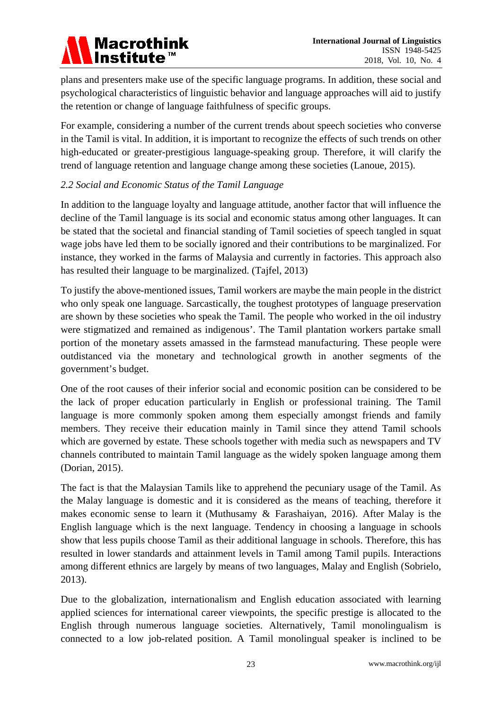# Macrothink<br>Institute™

plans and presenters make use of the specific language programs. In addition, these social and psychological characteristics of linguistic behavior and language approaches will aid to justify the retention or change of language faithfulness of specific groups.

For example, considering a number of the current trends about speech societies who converse in the Tamil is vital. In addition, it is important to recognize the effects of such trends on other high-educated or greater-prestigious language-speaking group. Therefore, it will clarify the trend of language retention and language change among these societies (Lanoue, 2015).

# *2.2 Social and Economic Status of the Tamil Language*

In addition to the language loyalty and language attitude, another factor that will influence the decline of the Tamil language is its social and economic status among other languages. It can be stated that the societal and financial standing of Tamil societies of speech tangled in squat wage jobs have led them to be socially ignored and their contributions to be marginalized. For instance, they worked in the farms of Malaysia and currently in factories. This approach also has resulted their language to be marginalized. (Tajfel, 2013)

To justify the above-mentioned issues, Tamil workers are maybe the main people in the district who only speak one language. Sarcastically, the toughest prototypes of language preservation are shown by these societies who speak the Tamil. The people who worked in the oil industry were stigmatized and remained as indigenous'. The Tamil plantation workers partake small portion of the monetary assets amassed in the farmstead manufacturing. These people were outdistanced via the monetary and technological growth in another segments of the government's budget.

One of the root causes of their inferior social and economic position can be considered to be the lack of proper education particularly in English or professional training. The Tamil language is more commonly spoken among them especially amongst friends and family members. They receive their education mainly in Tamil since they attend Tamil schools which are governed by estate. These schools together with media such as newspapers and TV channels contributed to maintain Tamil language as the widely spoken language among them (Dorian, 2015).

The fact is that the Malaysian Tamils like to apprehend the pecuniary usage of the Tamil. As the Malay language is domestic and it is considered as the means of teaching, therefore it makes economic sense to learn it (Muthusamy & Farashaiyan, 2016). After Malay is the English language which is the next language. Tendency in choosing a language in schools show that less pupils choose Tamil as their additional language in schools. Therefore, this has resulted in lower standards and attainment levels in Tamil among Tamil pupils. Interactions among different ethnics are largely by means of two languages, Malay and English (Sobrielo, 2013).

Due to the globalization, internationalism and English education associated with learning applied sciences for international career viewpoints, the specific prestige is allocated to the English through numerous language societies. Alternatively, Tamil monolingualism is connected to a low job-related position. A Tamil monolingual speaker is inclined to be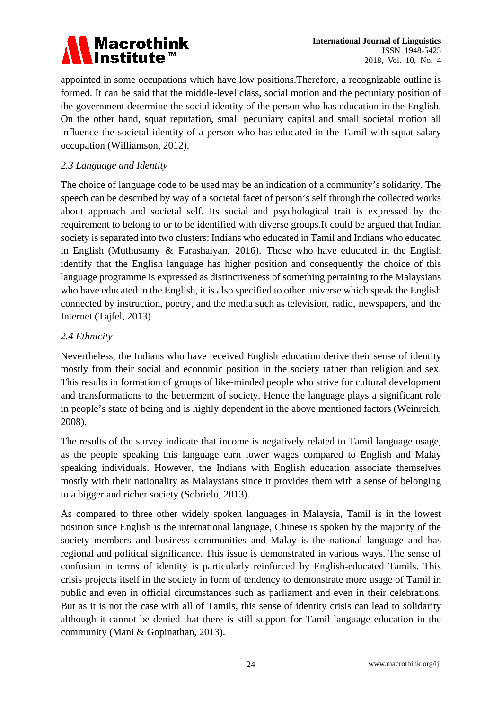

appointed in some occupations which have low positions.Therefore, a recognizable outline is formed. It can be said that the middle-level class, social motion and the pecuniary position of the government determine the social identity of the person who has education in the English. On the other hand, squat reputation, small pecuniary capital and small societal motion all influence the societal identity of a person who has educated in the Tamil with squat salary occupation (Williamson, 2012).

#### *2.3 Language and Identity*

The choice of language code to be used may be an indication of a community's solidarity. The speech can be described by way of a societal facet of person's self through the collected works about approach and societal self. Its social and psychological trait is expressed by the requirement to belong to or to be identified with diverse groups.It could be argued that Indian society is separated into two clusters: Indians who educated in Tamil and Indians who educated in English (Muthusamy & Farashaiyan, 2016). Those who have educated in the English identify that the English language has higher position and consequently the choice of this language programme is expressed as distinctiveness of something pertaining to the Malaysians who have educated in the English, it is also specified to other universe which speak the English connected by instruction, poetry, and the media such as television, radio, newspapers, and the Internet (Tajfel, 2013).

#### *2.4 Ethnicity*

Nevertheless, the Indians who have received English education derive their sense of identity mostly from their social and economic position in the society rather than religion and sex. This results in formation of groups of like-minded people who strive for cultural development and transformations to the betterment of society. Hence the language plays a significant role in people's state of being and is highly dependent in the above mentioned factors (Weinreich, 2008).

The results of the survey indicate that income is negatively related to Tamil language usage, as the people speaking this language earn lower wages compared to English and Malay speaking individuals. However, the Indians with English education associate themselves mostly with their nationality as Malaysians since it provides them with a sense of belonging to a bigger and richer society (Sobrielo, 2013).

As compared to three other widely spoken languages in Malaysia, Tamil is in the lowest position since English is the international language, Chinese is spoken by the majority of the society members and business communities and Malay is the national language and has regional and political significance. This issue is demonstrated in various ways. The sense of confusion in terms of identity is particularly reinforced by English-educated Tamils. This crisis projects itself in the society in form of tendency to demonstrate more usage of Tamil in public and even in official circumstances such as parliament and even in their celebrations. But as it is not the case with all of Tamils, this sense of identity crisis can lead to solidarity although it cannot be denied that there is still support for Tamil language education in the community (Mani & Gopinathan, 2013).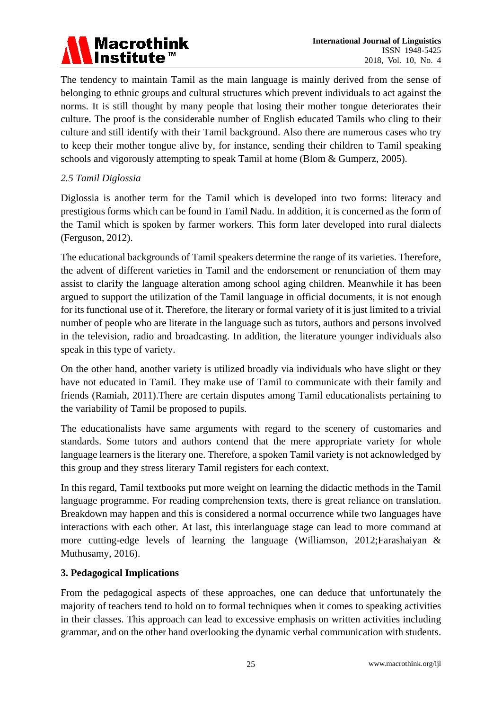# Macrothink<br>Institute™

The tendency to maintain Tamil as the main language is mainly derived from the sense of belonging to ethnic groups and cultural structures which prevent individuals to act against the norms. It is still thought by many people that losing their mother tongue deteriorates their culture. The proof is the considerable number of English educated Tamils who cling to their culture and still identify with their Tamil background. Also there are numerous cases who try to keep their mother tongue alive by, for instance, sending their children to Tamil speaking schools and vigorously attempting to speak Tamil at home (Blom & Gumperz, 2005).

## *2.5 Tamil Diglossia*

Diglossia is another term for the Tamil which is developed into two forms: literacy and prestigious forms which can be found in Tamil Nadu. In addition, it is concerned as the form of the Tamil which is spoken by farmer workers. This form later developed into rural dialects (Ferguson, 2012).

The educational backgrounds of Tamil speakers determine the range of its varieties. Therefore, the advent of different varieties in Tamil and the endorsement or renunciation of them may assist to clarify the language alteration among school aging children. Meanwhile it has been argued to support the utilization of the Tamil language in official documents, it is not enough for its functional use of it. Therefore, the literary or formal variety of it is just limited to a trivial number of people who are literate in the language such as tutors, authors and persons involved in the television, radio and broadcasting. In addition, the literature younger individuals also speak in this type of variety.

On the other hand, another variety is utilized broadly via individuals who have slight or they have not educated in Tamil. They make use of Tamil to communicate with their family and friends (Ramiah, 2011).There are certain disputes among Tamil educationalists pertaining to the variability of Tamil be proposed to pupils.

The educationalists have same arguments with regard to the scenery of customaries and standards. Some tutors and authors contend that the mere appropriate variety for whole language learners is the literary one. Therefore, a spoken Tamil variety is not acknowledged by this group and they stress literary Tamil registers for each context.

In this regard, Tamil textbooks put more weight on learning the didactic methods in the Tamil language programme. For reading comprehension texts, there is great reliance on translation. Breakdown may happen and this is considered a normal occurrence while two languages have interactions with each other. At last, this interlanguage stage can lead to more command at more cutting-edge levels of learning the language (Williamson, 2012;Farashaiyan & Muthusamy, 2016).

## **3. Pedagogical Implications**

From the pedagogical aspects of these approaches, one can deduce that unfortunately the majority of teachers tend to hold on to formal techniques when it comes to speaking activities in their classes. This approach can lead to excessive emphasis on written activities including grammar, and on the other hand overlooking the dynamic verbal communication with students.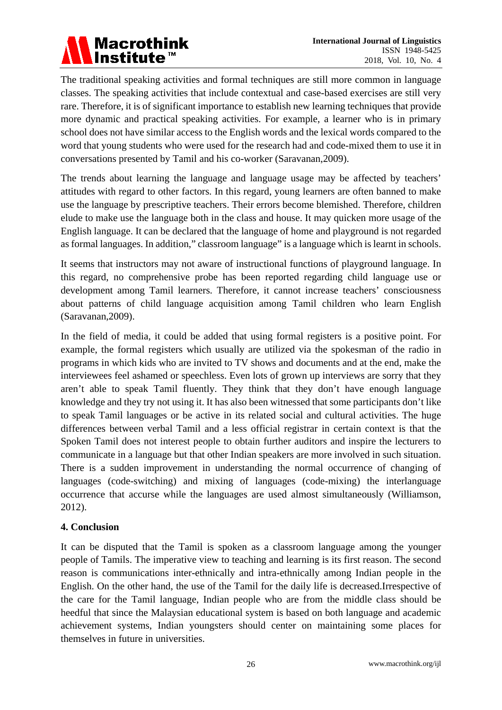# Macrothink<br>Institute™

The traditional speaking activities and formal techniques are still more common in language classes. The speaking activities that include contextual and case-based exercises are still very rare. Therefore, it is of significant importance to establish new learning techniques that provide more dynamic and practical speaking activities. For example, a learner who is in primary school does not have similar access to the English words and the lexical words compared to the word that young students who were used for the research had and code-mixed them to use it in conversations presented by Tamil and his co-worker (Saravanan,2009).

The trends about learning the language and language usage may be affected by teachers' attitudes with regard to other factors. In this regard, young learners are often banned to make use the language by prescriptive teachers. Their errors become blemished. Therefore, children elude to make use the language both in the class and house. It may quicken more usage of the English language. It can be declared that the language of home and playground is not regarded as formal languages. In addition," classroom language" is a language which is learnt in schools.

It seems that instructors may not aware of instructional functions of playground language. In this regard, no comprehensive probe has been reported regarding child language use or development among Tamil learners. Therefore, it cannot increase teachers' consciousness about patterns of child language acquisition among Tamil children who learn English (Saravanan,2009).

In the field of media, it could be added that using formal registers is a positive point. For example, the formal registers which usually are utilized via the spokesman of the radio in programs in which kids who are invited to TV shows and documents and at the end, make the interviewees feel ashamed or speechless. Even lots of grown up interviews are sorry that they aren't able to speak Tamil fluently. They think that they don't have enough language knowledge and they try not using it. It has also been witnessed that some participants don't like to speak Tamil languages or be active in its related social and cultural activities. The huge differences between verbal Tamil and a less official registrar in certain context is that the Spoken Tamil does not interest people to obtain further auditors and inspire the lecturers to communicate in a language but that other Indian speakers are more involved in such situation. There is a sudden improvement in understanding the normal occurrence of changing of languages (code-switching) and mixing of languages (code-mixing) the interlanguage occurrence that accurse while the languages are used almost simultaneously (Williamson, 2012).

#### **4. Conclusion**

It can be disputed that the Tamil is spoken as a classroom language among the younger people of Tamils. The imperative view to teaching and learning is its first reason. The second reason is communications inter-ethnically and intra-ethnically among Indian people in the English. On the other hand, the use of the Tamil for the daily life is decreased.Irrespective of the care for the Tamil language, Indian people who are from the middle class should be heedful that since the Malaysian educational system is based on both language and academic achievement systems, Indian youngsters should center on maintaining some places for themselves in future in universities.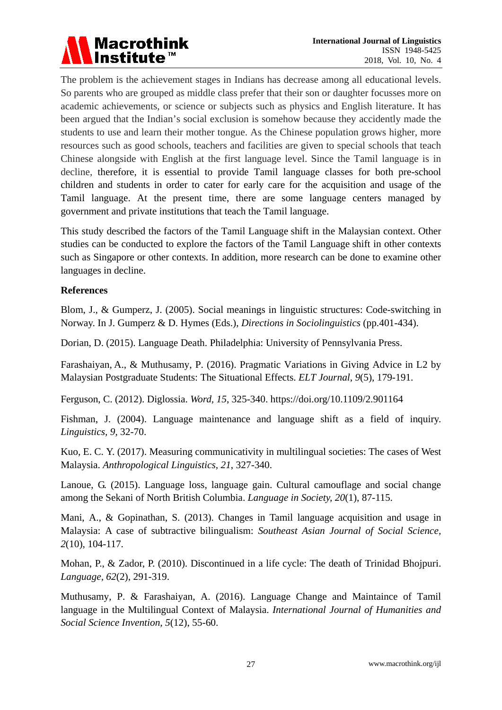

The problem is the achievement stages in Indians has decrease among all educational levels. So parents who are grouped as middle class prefer that their son or daughter focusses more on academic achievements, or science or subjects such as physics and English literature. It has been argued that the Indian's social exclusion is somehow because they accidently made the students to use and learn their mother tongue. As the Chinese population grows higher, more resources such as good schools, teachers and facilities are given to special schools that teach Chinese alongside with English at the first language level. Since the Tamil language is in decline, therefore, it is essential to provide Tamil language classes for both pre-school children and students in order to cater for early care for the acquisition and usage of the Tamil language. At the present time, there are some language centers managed by government and private institutions that teach the Tamil language.

This study described the factors of the Tamil Language shift in the Malaysian context. Other studies can be conducted to explore the factors of the Tamil Language shift in other contexts such as Singapore or other contexts. In addition, more research can be done to examine other languages in decline.

#### **References**

Blom, J., & Gumperz, J. (2005). Social meanings in linguistic structures: Code-switching in Norway. In J. Gumperz & D. Hymes (Eds.), *Directions in Sociolinguistics* (pp.401-434).

Dorian, D. (2015). Language Death. Philadelphia: University of Pennsylvania Press.

Farashaiyan, A., & Muthusamy, P. (2016). Pragmatic Variations in Giving Advice in L2 by Malaysian Postgraduate Students: The Situational Effects. *ELT Journal, 9*(5), 179-191.

Ferguson, C. (2012). Diglossia. *Word, 15*, 325-340. https://doi.org/10.1109/2.901164

Fishman, J. (2004). Language maintenance and language shift as a field of inquiry. *Linguistics, 9*, 32-70.

Kuo, E. C. Y. (2017). Measuring communicativity in multilingual societies: The cases of West Malaysia. *Anthropological Linguistics, 21*, 327-340.

Lanoue, G. (2015). Language loss, language gain. Cultural camouflage and social change among the Sekani of North British Columbia. *Language in Society, 20*(1), 87-115.

Mani, A., & Gopinathan, S. (2013). Changes in Tamil language acquisition and usage in Malaysia: A case of subtractive bilingualism: *Southeast Asian Journal of Social Science, 2*(10), 104-117.

Mohan, P., & Zador, P. (2010). Discontinued in a life cycle: The death of Trinidad Bhojpuri. *Language, 62*(2), 291-319.

Muthusamy, P. & Farashaiyan, A. (2016). Language Change and Maintaince of Tamil language in the Multilingual Context of Malaysia. *International Journal of Humanities and Social Science Invention, 5*(12), 55-60.